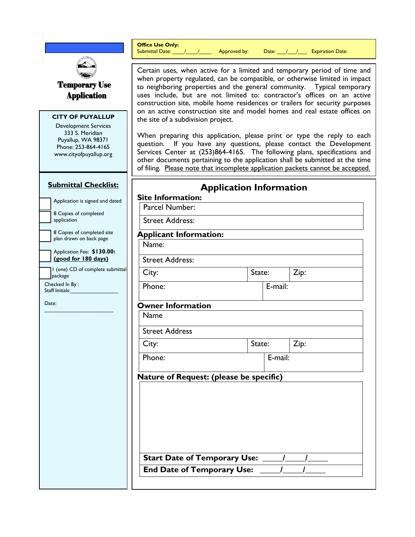|                                                                                                                                                  | <b>Office Use Only:</b><br>Submittal Date: $\frac{1}{1}$ $\frac{1}{1}$ Approved by:<br>Date: /// / Expiration Date:                                                                                                                                                                                                                                                                                                               |  |         |      |  |  |
|--------------------------------------------------------------------------------------------------------------------------------------------------|-----------------------------------------------------------------------------------------------------------------------------------------------------------------------------------------------------------------------------------------------------------------------------------------------------------------------------------------------------------------------------------------------------------------------------------|--|---------|------|--|--|
| <b>Temporary Use</b><br><b>Application</b>                                                                                                       | Certain uses, when active for a limited and temporary period of time and<br>when property regulated, can be compatible, or otherwise limited in impact<br>to neighboring properties and the general community. Typical temporary<br>uses include, but are not limited to: contractor's offices on an active<br>construction site, mobile home residences or trailers for security purposes                                        |  |         |      |  |  |
| <b>CITY OF PUYALLUP</b><br><b>Development Services</b><br>333 S. Meridian<br>Puyallup, WA 98371<br>Phone: 253-864-4165<br>www.cityofpuyallup.org | on an active construction site and model homes and real estate offices on<br>the site of a subdivision project.<br>When preparing this application, please print or type the reply to each<br>If you have any questions, please contact the Development<br>question.<br>Services Center at (253)864-4165. The following plans, specifications and<br>other documents pertaining to the application shall be submitted at the time |  |         |      |  |  |
|                                                                                                                                                  | of filing. Please note that incomplete application packets cannot be accepted.                                                                                                                                                                                                                                                                                                                                                    |  |         |      |  |  |
| <b>Submittal Checklist:</b>                                                                                                                      | <b>Application Information</b><br><b>Site Information:</b>                                                                                                                                                                                                                                                                                                                                                                        |  |         |      |  |  |
| Application is signed and dated                                                                                                                  | Parcel Number:                                                                                                                                                                                                                                                                                                                                                                                                                    |  |         |      |  |  |
| 8 Copies of completed<br>application                                                                                                             | <b>Street Address:</b>                                                                                                                                                                                                                                                                                                                                                                                                            |  |         |      |  |  |
| 8 Copies of completed site<br>plan drawn on back page                                                                                            | <b>Applicant Information:</b>                                                                                                                                                                                                                                                                                                                                                                                                     |  |         |      |  |  |
| Application Fee: \$130.00:                                                                                                                       | Name:                                                                                                                                                                                                                                                                                                                                                                                                                             |  |         |      |  |  |
| (good for 180 days)<br>  I (one) CD of complete submittal                                                                                        | <b>Street Address:</b>                                                                                                                                                                                                                                                                                                                                                                                                            |  |         |      |  |  |
| package<br>Checked In By:                                                                                                                        | City:                                                                                                                                                                                                                                                                                                                                                                                                                             |  | State:  | Zip: |  |  |
| Staff Initials:                                                                                                                                  | Phone:                                                                                                                                                                                                                                                                                                                                                                                                                            |  | E-mail: |      |  |  |
| Date:                                                                                                                                            | <b>Owner Information</b>                                                                                                                                                                                                                                                                                                                                                                                                          |  |         |      |  |  |
|                                                                                                                                                  | <b>Name</b>                                                                                                                                                                                                                                                                                                                                                                                                                       |  |         |      |  |  |
|                                                                                                                                                  | <b>Street Address</b>                                                                                                                                                                                                                                                                                                                                                                                                             |  |         |      |  |  |
|                                                                                                                                                  | City:                                                                                                                                                                                                                                                                                                                                                                                                                             |  | State:  | Zip: |  |  |
|                                                                                                                                                  | Phone:                                                                                                                                                                                                                                                                                                                                                                                                                            |  | E-mail: |      |  |  |
|                                                                                                                                                  | Nature of Request: (please be specific)                                                                                                                                                                                                                                                                                                                                                                                           |  |         |      |  |  |
|                                                                                                                                                  | <b>Start Date of Temporary Use:</b><br><b>End Date of Temporary Use:</b>                                                                                                                                                                                                                                                                                                                                                          |  |         |      |  |  |